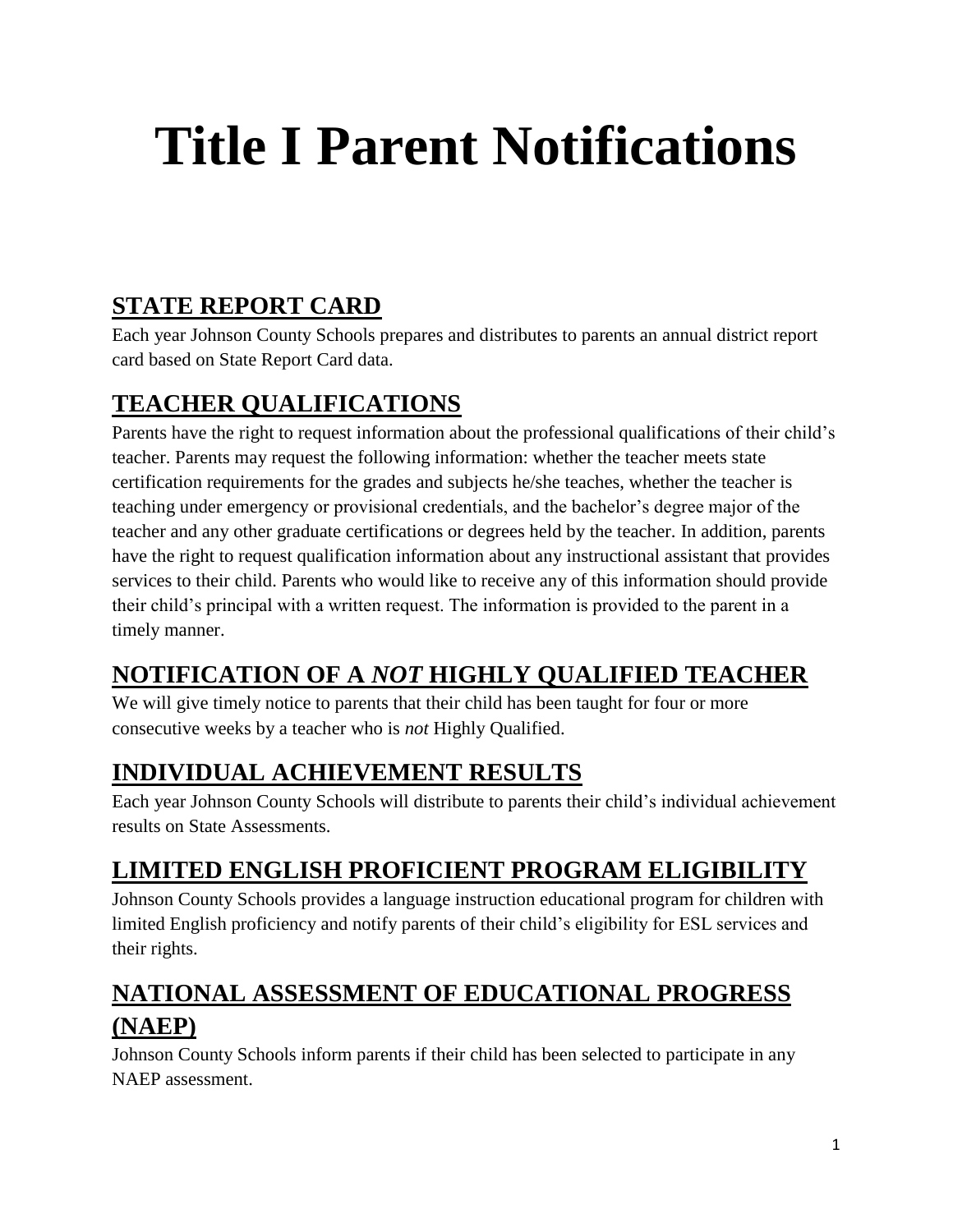# **Title I Parent Notifications**

# **STATE REPORT CARD**

Each year Johnson County Schools prepares and distributes to parents an annual district report card based on State Report Card data.

# **TEACHER QUALIFICATIONS**

Parents have the right to request information about the professional qualifications of their child's teacher. Parents may request the following information: whether the teacher meets state certification requirements for the grades and subjects he/she teaches, whether the teacher is teaching under emergency or provisional credentials, and the bachelor's degree major of the teacher and any other graduate certifications or degrees held by the teacher. In addition, parents have the right to request qualification information about any instructional assistant that provides services to their child. Parents who would like to receive any of this information should provide their child's principal with a written request. The information is provided to the parent in a timely manner.

## **NOTIFICATION OF A** *NOT* **HIGHLY QUALIFIED TEACHER**

We will give timely notice to parents that their child has been taught for four or more consecutive weeks by a teacher who is *not* Highly Qualified.

#### **INDIVIDUAL ACHIEVEMENT RESULTS**

Each year Johnson County Schools will distribute to parents their child's individual achievement results on State Assessments.

## **LIMITED ENGLISH PROFICIENT PROGRAM ELIGIBILITY**

Johnson County Schools provides a language instruction educational program for children with limited English proficiency and notify parents of their child's eligibility for ESL services and their rights.

#### **NATIONAL ASSESSMENT OF EDUCATIONAL PROGRESS (NAEP)**

Johnson County Schools inform parents if their child has been selected to participate in any NAEP assessment.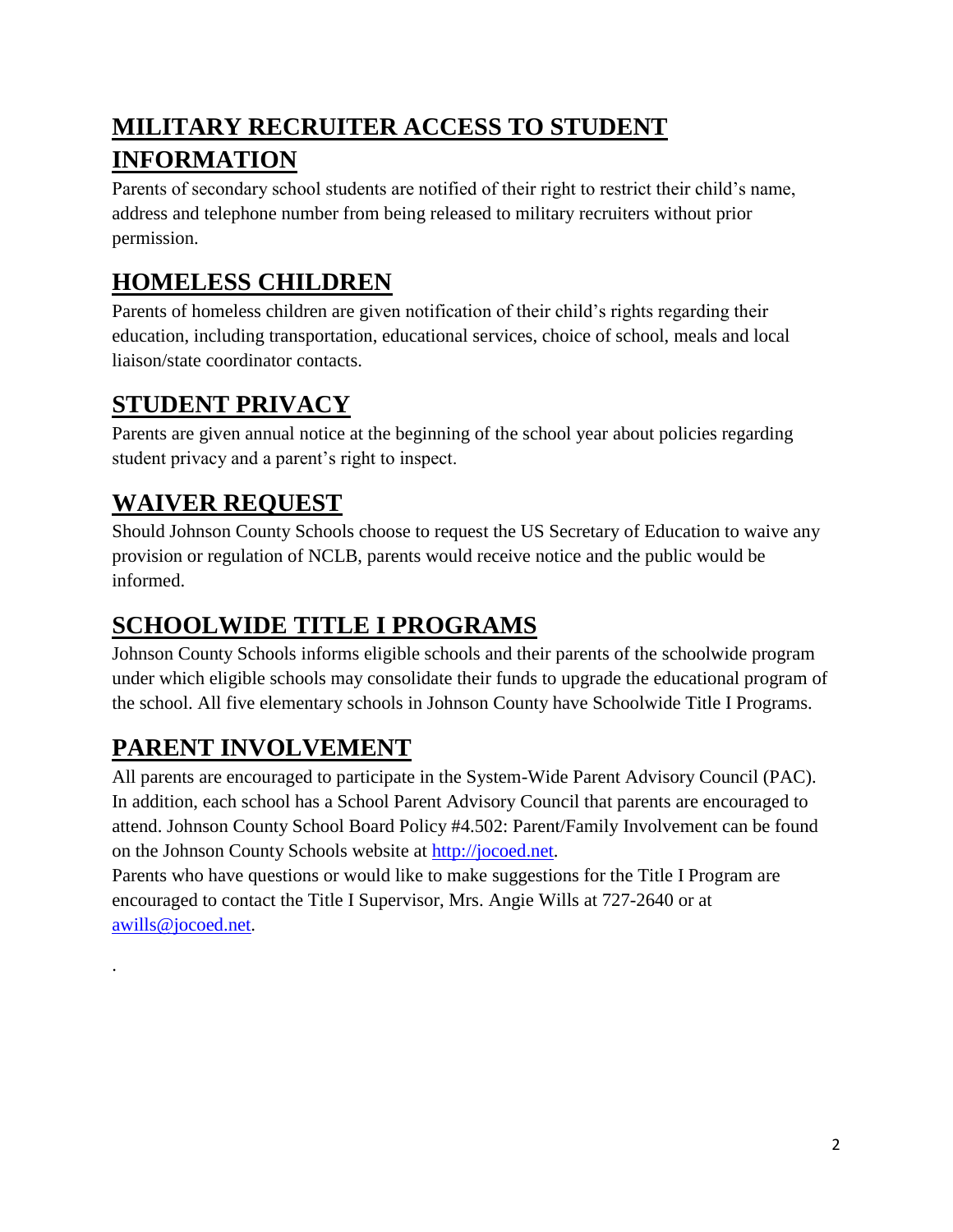# **MILITARY RECRUITER ACCESS TO STUDENT INFORMATION**

Parents of secondary school students are notified of their right to restrict their child's name, address and telephone number from being released to military recruiters without prior permission.

## **HOMELESS CHILDREN**

Parents of homeless children are given notification of their child's rights regarding their education, including transportation, educational services, choice of school, meals and local liaison/state coordinator contacts.

#### **STUDENT PRIVACY**

Parents are given annual notice at the beginning of the school year about policies regarding student privacy and a parent's right to inspect.

# **WAIVER REQUEST**

Should Johnson County Schools choose to request the US Secretary of Education to waive any provision or regulation of NCLB, parents would receive notice and the public would be informed.

## **SCHOOLWIDE TITLE I PROGRAMS**

Johnson County Schools informs eligible schools and their parents of the schoolwide program under which eligible schools may consolidate their funds to upgrade the educational program of the school. All five elementary schools in Johnson County have Schoolwide Title I Programs.

#### **PARENT INVOLVEMENT**

.

All parents are encouraged to participate in the System-Wide Parent Advisory Council (PAC). In addition, each school has a School Parent Advisory Council that parents are encouraged to attend. Johnson County School Board Policy #4.502: Parent/Family Involvement can be found on the Johnson County Schools website at [http://jocoed.net.](http://jocoed.net/)

Parents who have questions or would like to make suggestions for the Title I Program are encouraged to contact the Title I Supervisor, Mrs. Angie Wills at 727-2640 or at [awills@jocoed.net.](mailto:awills@jocoed.net)